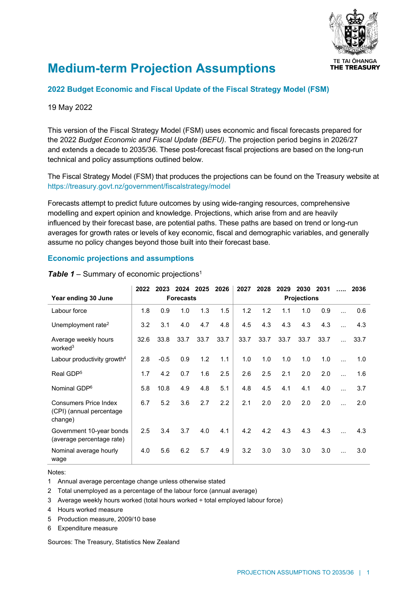

# **Medium-term Projection Assumptions**

### **2022 Budget Economic and Fiscal Update of the Fiscal Strategy Model (FSM)**

#### 19 May 2022

This version of the Fiscal Strategy Model (FSM) uses economic and fiscal forecasts prepared for the 2022 *Budget Economic and Fiscal Update (BEFU)*. The projection period begins in 2026/27 and extends a decade to 2035/36. These post-forecast fiscal projections are based on the long-run technical and policy assumptions outlined below.

The Fiscal Strategy Model (FSM) that produces the projections can be found on the Treasury website at <https://treasury.govt.nz/government/fiscalstrategy/model>

Forecasts attempt to predict future outcomes by using wide-ranging resources, comprehensive modelling and expert opinion and knowledge. Projections, which arise from and are heavily influenced by their forecast base, are potential paths. These paths are based on trend or long-run averages for growth rates or levels of key economic, fiscal and demographic variables, and generally assume no policy changes beyond those built into their forecast base.

#### **Economic projections and assumptions**

|                                                                     | 2022             | 2023   | 2024 2025 |      | 2026               | 2027 | 2028 | 2029 | 2030 | 2031 |           | 2036 |
|---------------------------------------------------------------------|------------------|--------|-----------|------|--------------------|------|------|------|------|------|-----------|------|
| Year ending 30 June                                                 | <b>Forecasts</b> |        |           |      | <b>Projections</b> |      |      |      |      |      |           |      |
| Labour force                                                        | 1.8              | 0.9    | 1.0       | 1.3  | 1.5                | 1.2  | 1.2  | 1.1  | 1.0  | 0.9  |           | 0.6  |
| Unemployment rate <sup>2</sup>                                      | 3.2              | 3.1    | 4.0       | 4.7  | 4.8                | 4.5  | 4.3  | 4.3  | 4.3  | 4.3  |           | 4.3  |
| Average weekly hours<br>worked <sup>3</sup>                         | 32.6             | 33.8   | 33.7      | 33.7 | 33.7               | 33.7 | 33.7 | 33.7 | 33.7 | 33.7 |           | 33.7 |
| Labour productivity growth $4$                                      | 2.8              | $-0.5$ | 0.9       | 1.2  | 1.1                | 1.0  | 1.0  | 1.0  | 1.0  | 1.0  | $\ddotsc$ | 1.0  |
| Real GDP <sup>5</sup>                                               | 1.7              | 4.2    | 0.7       | 1.6  | 2.5                | 2.6  | 2.5  | 2.1  | 2.0  | 2.0  |           | 1.6  |
| Nominal GDP <sup>6</sup>                                            | 5.8              | 10.8   | 4.9       | 4.8  | 5.1                | 4.8  | 4.5  | 4.1  | 4.1  | 4.0  |           | 3.7  |
| <b>Consumers Price Index</b><br>(CPI) (annual percentage<br>change) | 6.7              | 5.2    | 3.6       | 2.7  | 2.2                | 2.1  | 2.0  | 2.0  | 2.0  | 2.0  |           | 2.0  |
| Government 10-year bonds<br>(average percentage rate)               | 2.5              | 3.4    | 3.7       | 4.0  | 4.1                | 4.2  | 4.2  | 4.3  | 4.3  | 4.3  |           | 4.3  |
| Nominal average hourly<br>wage                                      | 4.0              | 5.6    | 6.2       | 5.7  | 4.9                | 3.2  | 3.0  | 3.0  | 3.0  | 3.0  | $\ddotsc$ | 3.0  |

**Table 1** – Summary of economic projections<sup>1</sup>

#### Notes:

1 Annual average percentage change unless otherwise stated

2 Total unemployed as a percentage of the labour force (annual average)

- 3 Average weekly hours worked (total hours worked ÷ total employed labour force)
- 4 Hours worked measure
- 5 Production measure, 2009/10 base

6 Expenditure measure

Sources: The Treasury, Statistics New Zealand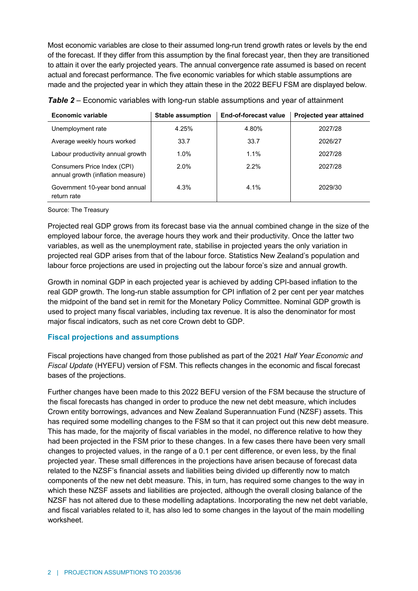Most economic variables are close to their assumed long-run trend growth rates or levels by the end of the forecast. If they differ from this assumption by the final forecast year, then they are transitioned to attain it over the early projected years. The annual convergence rate assumed is based on recent actual and forecast performance. The five economic variables for which stable assumptions are made and the projected year in which they attain these in the 2022 BEFU FSM are displayed below.

| <b>Economic variable</b>                                         | <b>Stable assumption</b> | <b>End-of-forecast value</b> | Projected year attained |
|------------------------------------------------------------------|--------------------------|------------------------------|-------------------------|
| Unemployment rate                                                | 4.25%                    | 4.80%                        | 2027/28                 |
| Average weekly hours worked                                      | 33.7                     | 33.7                         | 2026/27                 |
| Labour productivity annual growth                                | 1.0%                     | 1.1%                         | 2027/28                 |
| Consumers Price Index (CPI)<br>annual growth (inflation measure) | 2.0%                     | $2.2\%$                      | 2027/28                 |
| Government 10-year bond annual<br>return rate                    | 4.3%                     | 4.1%                         | 2029/30                 |

Source: The Treasury

Projected real GDP grows from its forecast base via the annual combined change in the size of the employed labour force, the average hours they work and their productivity. Once the latter two variables, as well as the unemployment rate, stabilise in projected years the only variation in projected real GDP arises from that of the labour force. Statistics New Zealand's population and labour force projections are used in projecting out the labour force's size and annual growth.

Growth in nominal GDP in each projected year is achieved by adding CPI-based inflation to the real GDP growth. The long-run stable assumption for CPI inflation of 2 per cent per year matches the midpoint of the band set in remit for the Monetary Policy Committee. Nominal GDP growth is used to project many fiscal variables, including tax revenue. It is also the denominator for most major fiscal indicators, such as net core Crown debt to GDP.

#### **Fiscal projections and assumptions**

Fiscal projections have changed from those published as part of the 2021 *Half Year Economic and Fiscal Update* (HYEFU) version of FSM. This reflects changes in the economic and fiscal forecast bases of the projections.

Further changes have been made to this 2022 BEFU version of the FSM because the structure of the fiscal forecasts has changed in order to produce the new net debt measure, which includes Crown entity borrowings, advances and New Zealand Superannuation Fund (NZSF) assets. This has required some modelling changes to the FSM so that it can project out this new debt measure. This has made, for the majority of fiscal variables in the model, no difference relative to how they had been projected in the FSM prior to these changes. In a few cases there have been very small changes to projected values, in the range of a 0.1 per cent difference, or even less, by the final projected year. These small differences in the projections have arisen because of forecast data related to the NZSF's financial assets and liabilities being divided up differently now to match components of the new net debt measure. This, in turn, has required some changes to the way in which these NZSF assets and liabilities are projected, although the overall closing balance of the NZSF has not altered due to these modelling adaptations. Incorporating the new net debt variable, and fiscal variables related to it, has also led to some changes in the layout of the main modelling worksheet.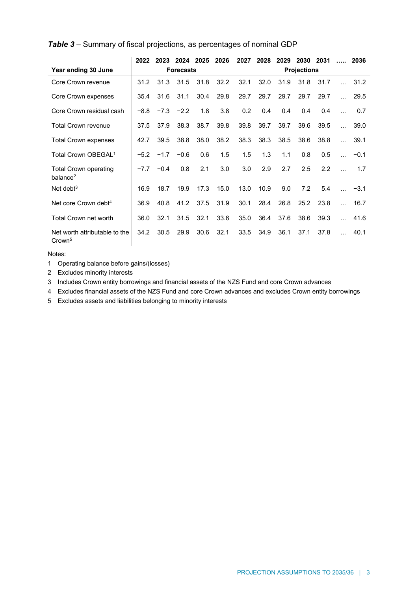|                                                      | 2022             | 2023   | 2024 2025 |      | 2026               | 2027 | 2028 | 2029 | 2030 | 2031 | 1.1.1.1   | 2036   |
|------------------------------------------------------|------------------|--------|-----------|------|--------------------|------|------|------|------|------|-----------|--------|
| Year ending 30 June                                  | <b>Forecasts</b> |        |           |      | <b>Projections</b> |      |      |      |      |      |           |        |
| Core Crown revenue                                   | 31.2             | 31.3   | 31.5      | 31.8 | 32.2               | 32.1 | 32.0 | 31.9 | 31.8 | 31.7 |           | 31.2   |
| Core Crown expenses                                  | 35.4             | 31.6   | 31.1      | 30.4 | 29.8               | 29.7 | 29.7 | 29.7 | 29.7 | 29.7 |           | 29.5   |
| Core Crown residual cash                             | $-8.8$           | $-7.3$ | $-2.2$    | 1.8  | 3.8                | 0.2  | 0.4  | 0.4  | 0.4  | 0.4  | $\ddotsc$ | 0.7    |
| Total Crown revenue                                  | 37.5             | 37.9   | 38.3      | 38.7 | 39.8               | 39.8 | 39.7 | 39.7 | 39.6 | 39.5 | $\ddotsc$ | 39.0   |
| <b>Total Crown expenses</b>                          | 42.7             | 39.5   | 38.8      | 38.0 | 38.2               | 38.3 | 38.3 | 38.5 | 38.6 | 38.8 |           | 39.1   |
| Total Crown OBEGAL <sup>1</sup>                      | $-5.2$           | $-1.7$ | $-0.6$    | 0.6  | 1.5                | 1.5  | 1.3  | 1.1  | 0.8  | 0.5  | $\sim$    | $-0.1$ |
| <b>Total Crown operating</b><br>balance <sup>2</sup> | $-7.7$           | $-0.4$ | 0.8       | 2.1  | 3.0                | 3.0  | 2.9  | 2.7  | 2.5  | 2.2  |           | 1.7    |
| Net debt $3$                                         | 16.9             | 18.7   | 19.9      | 17.3 | 15.0               | 13.0 | 10.9 | 9.0  | 7.2  | 5.4  | $\ddotsc$ | $-3.1$ |
| Net core Crown debt <sup>4</sup>                     | 36.9             | 40.8   | 41.2      | 37.5 | 31.9               | 30.1 | 28.4 | 26.8 | 25.2 | 23.8 | $\ddotsc$ | 16.7   |
| <b>Total Crown net worth</b>                         | 36.0             | 32.1   | 31.5      | 32.1 | 33.6               | 35.0 | 36.4 | 37.6 | 38.6 | 39.3 | $\ddotsc$ | 41.6   |
| Net worth attributable to the<br>Crown <sup>5</sup>  | 34.2             | 30.5   | 29.9      | 30.6 | 32.1               | 33.5 | 34.9 | 36.1 | 37.1 | 37.8 |           | 40.1   |

Notes:

1 Operating balance before gains/(losses)

2 Excludes minority interests

3 Includes Crown entity borrowings and financial assets of the NZS Fund and core Crown advances

4 Excludes financial assets of the NZS Fund and core Crown advances and excludes Crown entity borrowings

5 Excludes assets and liabilities belonging to minority interests